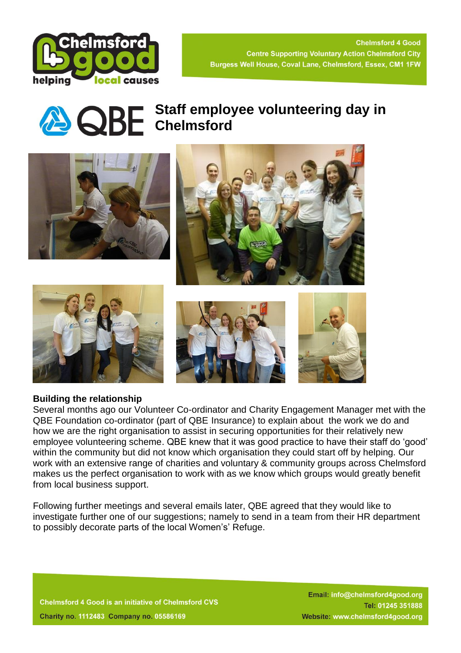



# **Staff employee volunteering day in CHE** Chelmsford



## **Building the relationship**

Several months ago our Volunteer Co-ordinator and Charity Engagement Manager met with the QBE Foundation co-ordinator (part of QBE Insurance) to explain about the work we do and how we are the right organisation to assist in securing opportunities for their relatively new employee volunteering scheme. QBE knew that it was good practice to have their staff do 'good' within the community but did not know which organisation they could start off by helping. Our work with an extensive range of charities and voluntary & community groups across Chelmsford makes us the perfect organisation to work with as we know which groups would greatly benefit from local business support.

Following further meetings and several emails later, QBE agreed that they would like to investigate further one of our suggestions; namely to send in a team from their HR department to possibly decorate parts of the local Women's' Refuge.

**Chelmsford 4 Good is an initiative of Chelmsford CVS Charity no. 1112483 Company no. 05586169** 

Email: info@chelmsford4good.org Tel: 01245 351888 Website: www.chelmsford4good.org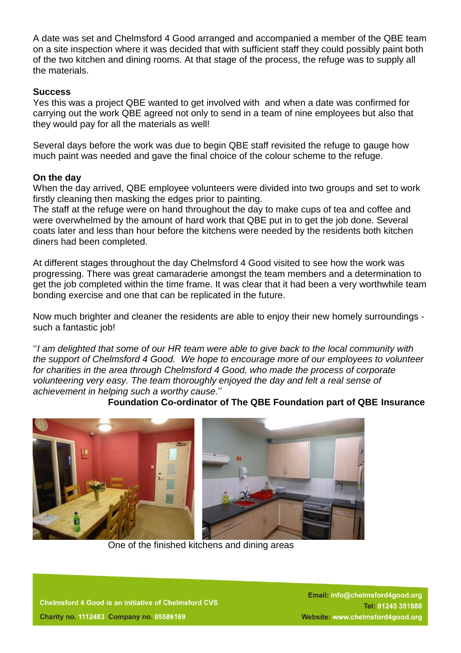A date was set and Chelmsford 4 Good arranged and accompanied a member of the QBE team on a site inspection where it was decided that with sufficient staff they could possibly paint both of the two kitchen and dining rooms. At that stage of the process, the refuge was to supply all the materials.

### **Success**

Yes this was a project QBE wanted to get involved with and when a date was confirmed for carrying out the work QBE agreed not only to send in a team of nine employees but also that they would pay for all the materials as well!

Several days before the work was due to begin QBE staff revisited the refuge to gauge how much paint was needed and gave the final choice of the colour scheme to the refuge.

#### **On the day**

When the day arrived, QBE employee volunteers were divided into two groups and set to work firstly cleaning then masking the edges prior to painting.

The staff at the refuge were on hand throughout the day to make cups of tea and coffee and were overwhelmed by the amount of hard work that QBE put in to get the job done. Several coats later and less than hour before the kitchens were needed by the residents both kitchen diners had been completed.

At different stages throughout the day Chelmsford 4 Good visited to see how the work was progressing. There was great camaraderie amongst the team members and a determination to get the job completed within the time frame. It was clear that it had been a very worthwhile team bonding exercise and one that can be replicated in the future.

Now much brighter and cleaner the residents are able to enjoy their new homely surroundings such a fantastic job!

''*I am delighted that some of our HR team were able to give back to the local community with the support of Chelmsford 4 Good. We hope to encourage more of our employees to volunteer for charities in the area through Chelmsford 4 Good, who made the process of corporate volunteering very easy. The team thoroughly enjoyed the day and felt a real sense of achievement in helping such a worthy cause.*''

 **Foundation Co-ordinator of The QBE Foundation part of QBE Insurance**



One of the finished kitchens and dining areas

**Chelmsford 4 Good is an initiative of Chelmsford CVS Charity no. 1112483 Company no. 05586169** 

Email: info@chelmsford4good.org Tel: 01245 351888 Website: www.chelmsford4good.org